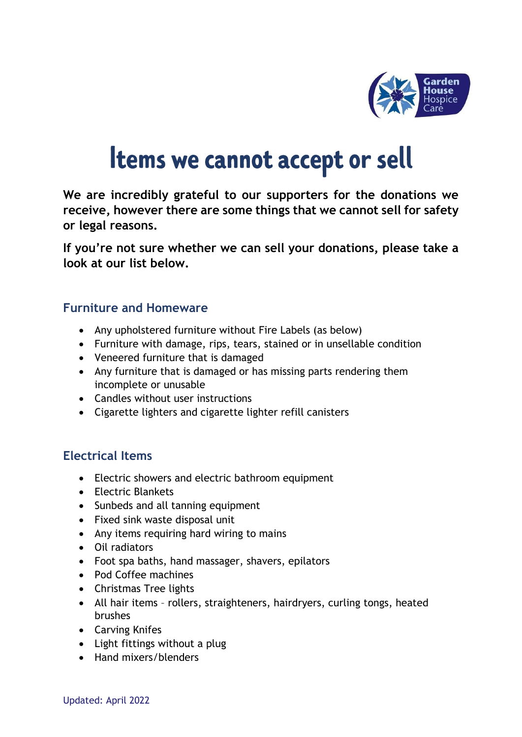

# **Items we cannot accept or sell**

**We are incredibly grateful to our supporters for the donations we receive, however there are some things that we cannot sell for safety or legal reasons.** 

**If you're not sure whether we can sell your donations, please take a look at our list below.**

#### **Furniture and Homeware**

- Any upholstered furniture without Fire Labels (as below)
- Furniture with damage, rips, tears, stained or in unsellable condition
- Veneered furniture that is damaged
- Any furniture that is damaged or has missing parts rendering them incomplete or unusable
- Candles without user instructions
- Cigarette lighters and cigarette lighter refill canisters

#### **Electrical Items**

- Electric showers and electric bathroom equipment
- Electric Blankets
- Sunbeds and all tanning equipment
- Fixed sink waste disposal unit
- Any items requiring hard wiring to mains
- Oil radiators
- Foot spa baths, hand massager, shavers, epilators
- Pod Coffee machines
- Christmas Tree lights
- All hair items rollers, straighteners, hairdryers, curling tongs, heated brushes
- Carving Knifes
- Light fittings without a plug
- Hand mixers/blenders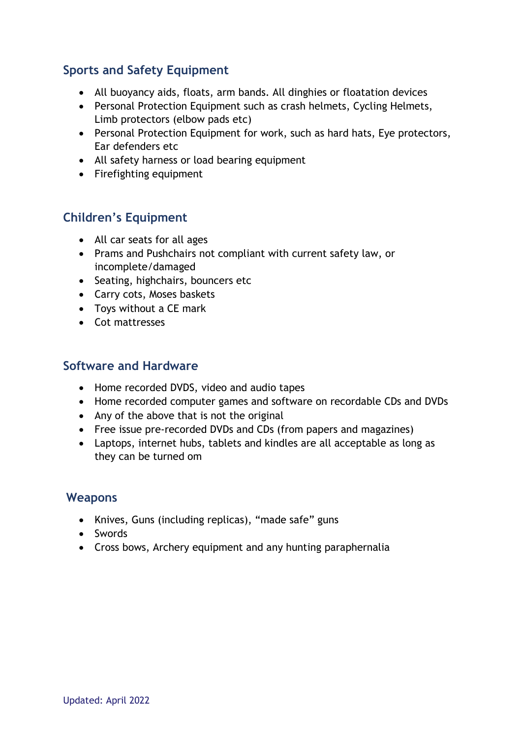## **Sports and Safety Equipment**

- All buoyancy aids, floats, arm bands. All dinghies or floatation devices
- Personal Protection Equipment such as crash helmets, Cycling Helmets, Limb protectors (elbow pads etc)
- Personal Protection Equipment for work, such as hard hats, Eye protectors, Ear defenders etc
- All safety harness or load bearing equipment
- Firefighting equipment

### **Children's Equipment**

- All car seats for all ages
- Prams and Pushchairs not compliant with current safety law, or incomplete/damaged
- Seating, highchairs, bouncers etc
- Carry cots, Moses baskets
- Toys without a CE mark
- Cot mattresses

#### **Software and Hardware**

- Home recorded DVDS, video and audio tapes
- Home recorded computer games and software on recordable CDs and DVDs
- Any of the above that is not the original
- Free issue pre-recorded DVDs and CDs (from papers and magazines)
- Laptops, internet hubs, tablets and kindles are all acceptable as long as they can be turned om

#### **Weapons**

- Knives, Guns (including replicas), "made safe" guns
- Swords
- Cross bows, Archery equipment and any hunting paraphernalia